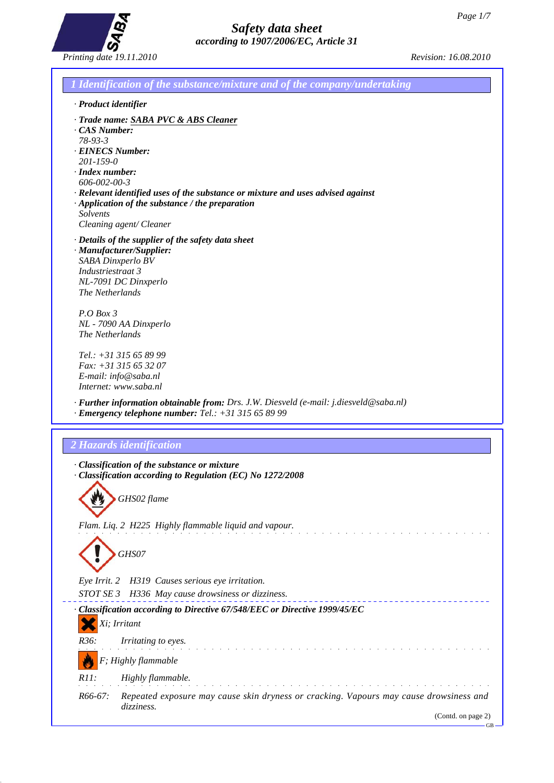GB



| 1 Identification of the substance/mixture and of the company/undertaking                                                                                                                                                                                                                                             |
|----------------------------------------------------------------------------------------------------------------------------------------------------------------------------------------------------------------------------------------------------------------------------------------------------------------------|
| · Product identifier                                                                                                                                                                                                                                                                                                 |
| · Trade name: SABA PVC & ABS Cleaner<br>$\cdot$ CAS Number:<br>$78 - 93 - 3$<br><b>EINECS Number:</b><br>$201 - 159 - 0$<br>$\cdot$ Index number:<br>606-002-00-3<br>$\cdot$ Relevant identified uses of the substance or mixture and uses advised against<br>$\cdot$ Application of the substance / the preparation |
| Solvents<br>Cleaning agent/ Cleaner                                                                                                                                                                                                                                                                                  |
| · Details of the supplier of the safety data sheet<br>· Manufacturer/Supplier:<br>SABA Dinxperlo BV<br>Industriestraat 3<br>NL-7091 DC Dinxperlo<br>The Netherlands                                                                                                                                                  |
| $P.OBox$ 3<br>NL - 7090 AA Dinxperlo<br>The Netherlands                                                                                                                                                                                                                                                              |
| Tel.: +31 315 65 89 99<br>Fax: +31 315 65 32 07<br>E-mail: info@saba.nl<br>Internet: www.saba.nl                                                                                                                                                                                                                     |
| · Further information obtainable from: Drs. J.W. Diesveld (e-mail: j.diesveld@saba.nl)<br>$\cdot$ Emergency telephone number: Tel.: +31 315 65 89 99                                                                                                                                                                 |
| 2 Hazards identification                                                                                                                                                                                                                                                                                             |
| · Classification of the substance or mixture<br>· Classification according to Regulation (EC) No 1272/2008                                                                                                                                                                                                           |
| $\mathbf{A}$<br>GHS02 flame                                                                                                                                                                                                                                                                                          |
| Flam. Liq. 2 H225 Highly flammable liquid and vapour.                                                                                                                                                                                                                                                                |
| GHS07                                                                                                                                                                                                                                                                                                                |
| Eye Irrit. 2<br>H319 Causes serious eye irritation.<br>STOT SE 3 H336 May cause drowsiness or dizziness.                                                                                                                                                                                                             |
| · Classification according to Directive 67/548/EEC or Directive 1999/45/EC<br>Xi; Irritant                                                                                                                                                                                                                           |
| R36:<br>Irritating to eyes.                                                                                                                                                                                                                                                                                          |
|                                                                                                                                                                                                                                                                                                                      |
| F; Highly flammable                                                                                                                                                                                                                                                                                                  |
| $R11$ :<br>Highly flammable.                                                                                                                                                                                                                                                                                         |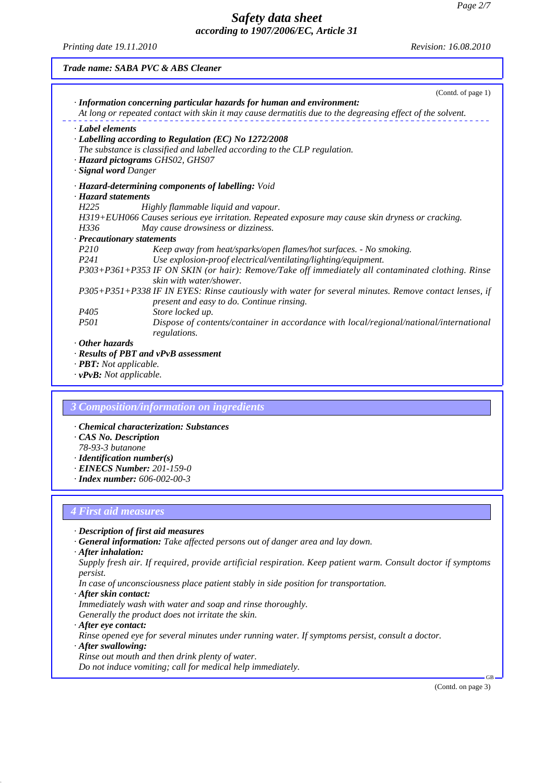*Printing date 19.11.2010 Revision: 16.08.2010*

|                       | (Contd. of page 1)<br>· Information concerning particular hazards for human and environment:<br>At long or repeated contact with skin it may cause dermatitis due to the degreasing effect of the solvent. |
|-----------------------|------------------------------------------------------------------------------------------------------------------------------------------------------------------------------------------------------------|
| · Label elements      |                                                                                                                                                                                                            |
|                       | · Labelling according to Regulation (EC) No 1272/2008                                                                                                                                                      |
|                       | The substance is classified and labelled according to the CLP regulation.                                                                                                                                  |
|                       | · Hazard pictograms GHS02, GHS07                                                                                                                                                                           |
| · Signal word Danger  |                                                                                                                                                                                                            |
|                       | · Hazard-determining components of labelling: Void                                                                                                                                                         |
| · Hazard statements   |                                                                                                                                                                                                            |
| H <sub>225</sub>      | Highly flammable liquid and vapour.                                                                                                                                                                        |
|                       | H319+EUH066 Causes serious eye irritation. Repeated exposure may cause skin dryness or cracking.                                                                                                           |
| H336                  | May cause drowsiness or dizziness.                                                                                                                                                                         |
|                       | · Precautionary statements                                                                                                                                                                                 |
| P <sub>210</sub>      | Keep away from heat/sparks/open flames/hot surfaces. - No smoking.                                                                                                                                         |
| P <sub>241</sub>      | Use explosion-proof electrical/ventilating/lighting/equipment.                                                                                                                                             |
|                       | P303+P361+P353 IF ON SKIN (or hair): Remove/Take off immediately all contaminated clothing. Rinse<br>skin with water/shower.                                                                               |
|                       | P305+P351+P338 IF IN EYES: Rinse cautiously with water for several minutes. Remove contact lenses, if<br>present and easy to do. Continue rinsing.                                                         |
| P <sub>405</sub>      | Store locked up.                                                                                                                                                                                           |
| <i>P501</i>           | Dispose of contents/container in accordance with local/regional/national/international<br>regulations.                                                                                                     |
| $\cdot$ Other hazards |                                                                                                                                                                                                            |

*· vPvB: Not applicable.*

#### *3 Composition/information on ingredients*

- *· Chemical characterization: Substances*
- *· CAS No. Description*
- *78-93-3 butanone*
- *· Identification number(s)*
- *· EINECS Number: 201-159-0*
- *· Index number: 606-002-00-3*

#### *4 First aid measures*

- *· Description of first aid measures*
- *· General information: Take affected persons out of danger area and lay down.*
- *· After inhalation:*
- *Supply fresh air. If required, provide artificial respiration. Keep patient warm. Consult doctor if symptoms persist.*
- *In case of unconsciousness place patient stably in side position for transportation.*
- *· After skin contact:*
- *Immediately wash with water and soap and rinse thoroughly. Generally the product does not irritate the skin.*
- *· After eye contact:*

*Rinse opened eye for several minutes under running water. If symptoms persist, consult a doctor.*

*· After swallowing:*

*Rinse out mouth and then drink plenty of water.*

*Do not induce vomiting; call for medical help immediately.*

(Contd. on page 3)

GB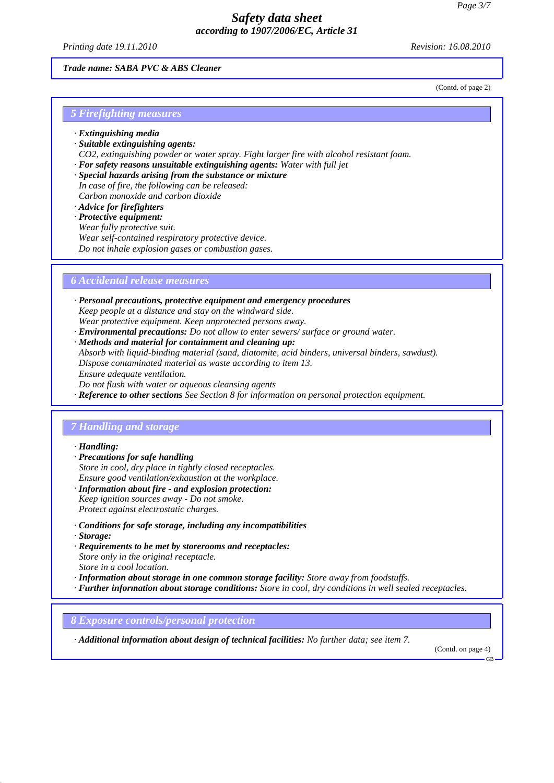*Printing date 19.11.2010 Revision: 16.08.2010*

(Contd. of page 2)

### *Trade name: SABA PVC & ABS Cleaner*

*5 Firefighting measures*

- *· Extinguishing media*
- *· Suitable extinguishing agents:*
- *CO2, extinguishing powder or water spray. Fight larger fire with alcohol resistant foam.*
- *· For safety reasons unsuitable extinguishing agents: Water with full jet*
- *· Special hazards arising from the substance or mixture*
- *In case of fire, the following can be released: Carbon monoxide and carbon dioxide*
- *· Advice for firefighters*
- *· Protective equipment:*
- *Wear fully protective suit.*
- *Wear self-contained respiratory protective device.*
- *Do not inhale explosion gases or combustion gases.*

*6 Accidental release measures*

- *· Personal precautions, protective equipment and emergency procedures Keep people at a distance and stay on the windward side. Wear protective equipment. Keep unprotected persons away.*
- *· Environmental precautions: Do not allow to enter sewers/ surface or ground water.*
- *· Methods and material for containment and cleaning up:*
- *Absorb with liquid-binding material (sand, diatomite, acid binders, universal binders, sawdust).*
- *Dispose contaminated material as waste according to item 13.*
- *Ensure adequate ventilation.*
- *Do not flush with water or aqueous cleansing agents*
- *· Reference to other sections See Section 8 for information on personal protection equipment.*

### *7 Handling and storage*

#### *· Handling:*

- *· Precautions for safe handling Store in cool, dry place in tightly closed receptacles. Ensure good ventilation/exhaustion at the workplace.*
- *· Information about fire and explosion protection: Keep ignition sources away - Do not smoke.*
- *Protect against electrostatic charges.*
- *· Conditions for safe storage, including any incompatibilities*
- *· Storage:*
- *· Requirements to be met by storerooms and receptacles: Store only in the original receptacle. Store in a cool location.*
- *· Information about storage in one common storage facility: Store away from foodstuffs.*
- *· Further information about storage conditions: Store in cool, dry conditions in well sealed receptacles.*

*8 Exposure controls/personal protection*

*· Additional information about design of technical facilities: No further data; see item 7.*

(Contd. on page 4)

GB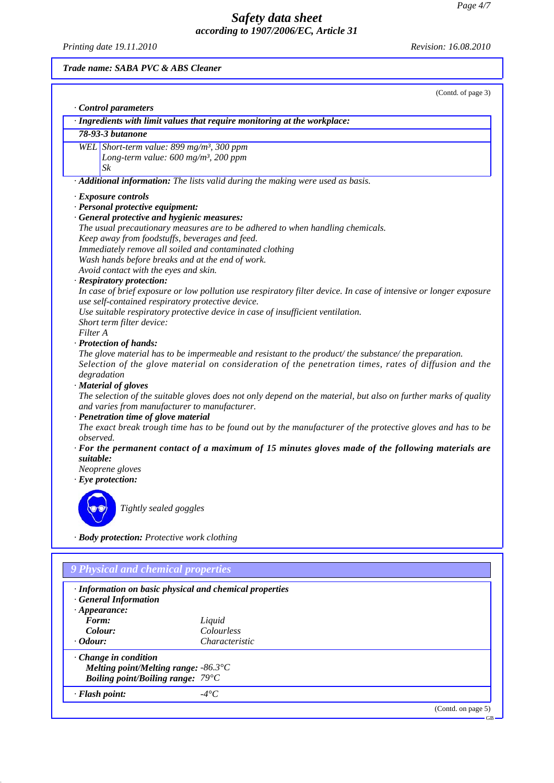*Printing date 19.11.2010 Revision: 16.08.2010*

*Trade name: SABA PVC & ABS Cleaner*

(Contd. of page 3)

|                  | Control parameters                                                                                                                                               |
|------------------|------------------------------------------------------------------------------------------------------------------------------------------------------------------|
|                  | · Ingredients with limit values that require monitoring at the workplace:                                                                                        |
|                  | 78-93-3 butanone                                                                                                                                                 |
|                  | WEL Short-term value: 899 mg/m <sup>3</sup> , 300 ppm                                                                                                            |
|                  | Long-term value: 600 mg/m <sup>3</sup> , 200 ppm                                                                                                                 |
|                  | Sk                                                                                                                                                               |
|                  | · Additional information: The lists valid during the making were used as basis.                                                                                  |
|                  | · Exposure controls                                                                                                                                              |
|                  | · Personal protective equipment:                                                                                                                                 |
|                  | · General protective and hygienic measures:                                                                                                                      |
|                  | The usual precautionary measures are to be adhered to when handling chemicals.                                                                                   |
|                  | Keep away from foodstuffs, beverages and feed.                                                                                                                   |
|                  | Immediately remove all soiled and contaminated clothing                                                                                                          |
|                  | Wash hands before breaks and at the end of work.                                                                                                                 |
|                  | Avoid contact with the eyes and skin.                                                                                                                            |
|                  | · Respiratory protection:                                                                                                                                        |
|                  | In case of brief exposure or low pollution use respiratory filter device. In case of intensive or longer exposure                                                |
|                  | use self-contained respiratory protective device.                                                                                                                |
|                  | Use suitable respiratory protective device in case of insufficient ventilation.                                                                                  |
|                  | Short term filter device:                                                                                                                                        |
| Filter A         |                                                                                                                                                                  |
|                  | · Protection of hands:                                                                                                                                           |
|                  | The glove material has to be impermeable and resistant to the product/the substance/the preparation.                                                             |
|                  | Selection of the glove material on consideration of the penetration times, rates of diffusion and the                                                            |
|                  | degradation                                                                                                                                                      |
|                  | · Material of gloves                                                                                                                                             |
|                  | The selection of the suitable gloves does not only depend on the material, but also on further marks of quality<br>and varies from manufacturer to manufacturer. |
|                  | · Penetration time of glove material                                                                                                                             |
|                  | The exact break trough time has to be found out by the manufacturer of the protective gloves and has to be                                                       |
| <i>observed.</i> |                                                                                                                                                                  |
|                  | $\cdot$ For the permanent contact of a maximum of 15 minutes gloves made of the following materials are                                                          |
| suitable:        |                                                                                                                                                                  |
|                  | Neoprene gloves                                                                                                                                                  |
|                  | $\cdot$ Eye protection:                                                                                                                                          |
|                  |                                                                                                                                                                  |
|                  | Tightly sealed goggles                                                                                                                                           |
|                  |                                                                                                                                                                  |
|                  | · Body protection: Protective work clothing                                                                                                                      |

| <b>General Information</b><br>$\cdot$ Appearance:                                 | · Information on basic physical and chemical properties |  |
|-----------------------------------------------------------------------------------|---------------------------------------------------------|--|
| Form:                                                                             | Liquid                                                  |  |
| Colour:                                                                           | Colourless                                              |  |
| $\cdot$ Odour:                                                                    | Characteristic                                          |  |
| $\cdot$ Change in condition<br><b>Boiling point/Boiling range:</b> $79^{\circ}$ C | Melting point/Melting range: $-86.3^{\circ}C$           |  |
| · Flash point:                                                                    | $-4^{\circ}C$                                           |  |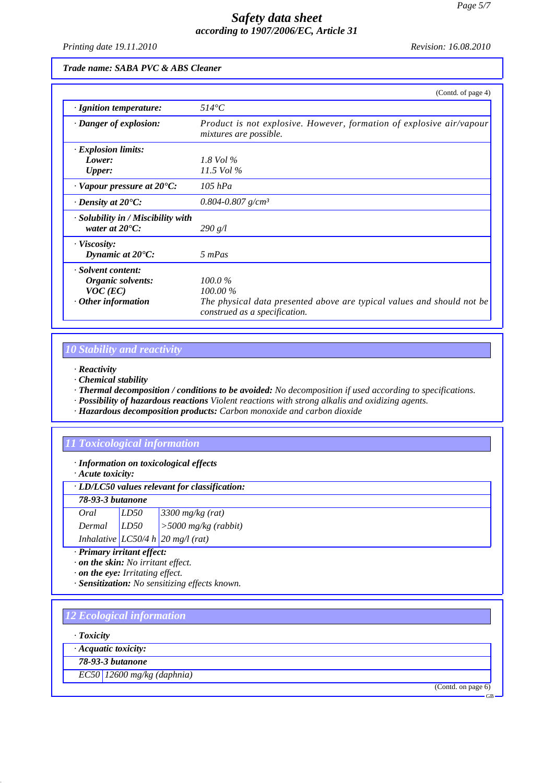*Printing date 19.11.2010 Revision: 16.08.2010*

### *Trade name: SABA PVC & ABS Cleaner*

|                                                                                    | (Contd. of page 4)                                                                                                              |
|------------------------------------------------------------------------------------|---------------------------------------------------------------------------------------------------------------------------------|
| $\cdot$ Ignition temperature:                                                      | $514^{\circ}C$                                                                                                                  |
| · Danger of explosion:                                                             | Product is not explosive. However, formation of explosive air/vapour<br><i>mixtures are possible.</i>                           |
| $\cdot$ Explosion limits:<br>Lower:<br><b>Upper:</b>                               | 1.8 Vol $\%$<br>$11.5$ Vol $\%$                                                                                                 |
| $\cdot$ Vapour pressure at 20 $\rm ^{\circ}C$ :                                    | $105$ $hPa$                                                                                                                     |
| $\cdot$ Density at 20 $\textdegree$ C:                                             | $0.804 - 0.807$ g/cm <sup>3</sup>                                                                                               |
| $\cdot$ Solubility in / Miscibility with<br>water at $20^{\circ}$ C:               | 290 g/l                                                                                                                         |
| · Viscosity:<br>Dynamic at $20^{\circ}$ C:                                         | 5 mPas                                                                                                                          |
| · Solvent content:<br>Organic solvents:<br>$VOC$ (EC)<br>$\cdot$ Other information | 100.0%<br>$100.00\%$<br>The physical data presented above are typical values and should not be<br>construed as a specification. |

## *10 Stability and reactivity*

*· Reactivity*

*· Chemical stability*

*· Thermal decomposition / conditions to be avoided: No decomposition if used according to specifications.*

*· Possibility of hazardous reactions Violent reactions with strong alkalis and oxidizing agents.*

*· Hazardous decomposition products: Carbon monoxide and carbon dioxide*

## *11 Toxicological information*

*· Information on toxicological effects*

*· Acute toxicity:*

| $\cdot$ LD/LC50 values relevant for classification:                          |  |  |  |
|------------------------------------------------------------------------------|--|--|--|
| $\pi$ $\alpha$ $\alpha$ $\gamma$ $\alpha$ $\beta$ $\gamma$ $\gamma$ $\gamma$ |  |  |  |

| 78-93-3 putanone |                  |                                                                                  |
|------------------|------------------|----------------------------------------------------------------------------------|
| Oral             | LD <sub>50</sub> | $3300$ mg/kg (rat)                                                               |
| $Dermal$ $LD50$  |                  | $\left  > 5000 \frac{\text{mg}}{\text{kg}} \left( \text{rabbit} \right) \right $ |
|                  |                  | Inhalative $LC50/4 h 20$ mg/l (rat)                                              |

*· Primary irritant effect:*

*· on the skin: No irritant effect.*

*· on the eye: Irritating effect.*

*· Sensitization: No sensitizing effects known.*

### *12 Ecological information*

*· Toxicity*

*· Acquatic toxicity:*

*78-93-3 butanone*

*EC50 12600 mg/kg (daphnia)*

(Contd. on page 6)

GB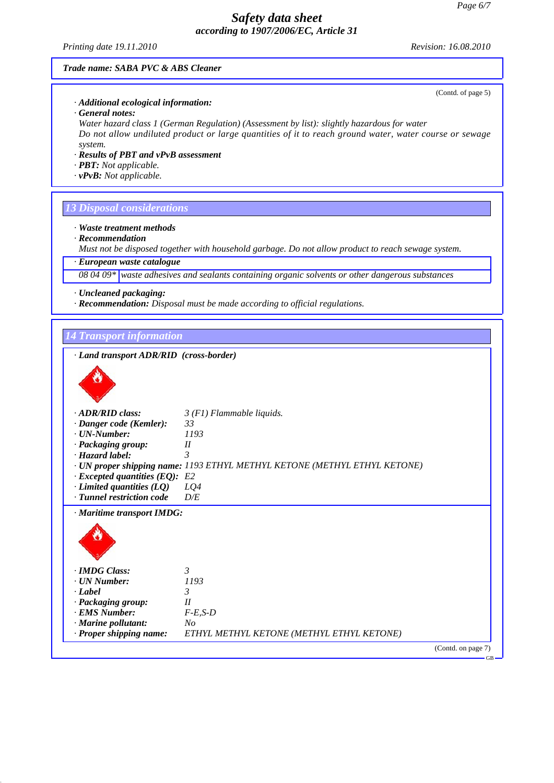*Printing date 19.11.2010 Revision: 16.08.2010*

(Contd. of page 5)

GB

#### *Trade name: SABA PVC & ABS Cleaner*

*· Additional ecological information:*

*· General notes:*

*Water hazard class 1 (German Regulation) (Assessment by list): slightly hazardous for water Do not allow undiluted product or large quantities of it to reach ground water, water course or sewage system.*

*· Results of PBT and vPvB assessment*

- *· PBT: Not applicable.*
- *· vPvB: Not applicable.*

### *13 Disposal considerations*

*· Waste treatment methods*

*· Recommendation*

*Must not be disposed together with household garbage. Do not allow product to reach sewage system.*

*· European waste catalogue*

*08 04 09\* waste adhesives and sealants containing organic solvents or other dangerous substances*

- *· Uncleaned packaging:*
- *· Recommendation: Disposal must be made according to official regulations.*

*14 Transport information*

*· Land transport ADR/RID (cross-border)*



| · ADR/RID class:                     | $3(F1)$ Flammable liquids.                                                |
|--------------------------------------|---------------------------------------------------------------------------|
| $\cdot$ Danger code (Kemler):        | 33                                                                        |
| $\cdot$ UN-Number:                   | 1193                                                                      |
| · Packaging group:                   | $_{II}$                                                                   |
| $\cdot$ Hazard label:                | 3                                                                         |
|                                      | · UN proper shipping name: 1193 ETHYL METHYL KETONE (METHYL ETHYL KETONE) |
| $\cdot$ Excepted quantities (EQ): E2 |                                                                           |
| $\cdot$ Limited quantities (LQ)      | LQ4                                                                       |
| · Tunnel restriction code            | D/E                                                                       |
| · Maritime transport IMDG:           |                                                                           |
|                                      |                                                                           |
| · IMDG Class:                        | 3                                                                         |
| · UN Number:                         | 1193                                                                      |
| · Label                              | 3                                                                         |
| · Packaging group:                   | $_{II}$                                                                   |
| · EMS Number:                        | $F-E,S-D$                                                                 |
| · Marine pollutant:                  | N <sub>O</sub>                                                            |
| · Proper shipping name:              | ETHYL METHYL KETONE (METHYL ETHYL KETONE)                                 |
|                                      | (Contd. on page 7)                                                        |